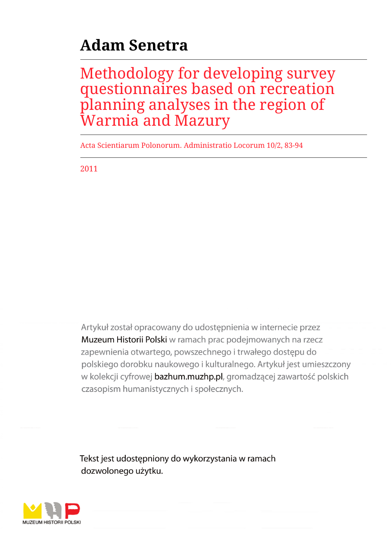# **Adam Senetra**

Methodology for developing survey questionnaires based on recreation planning analyses in the region of Warmia and Mazury

Acta Scientiarum Polonorum. Administratio Locorum 10/2, 83-94

2011

Artykuł został opracowany do udostępnienia w internecie przez Muzeum Historii Polski w ramach prac podejmowanych na rzecz zapewnienia otwartego, powszechnego i trwałego dostępu do polskiego dorobku naukowego i kulturalnego. Artykuł jest umieszczony w kolekcji cyfrowej bazhum.muzhp.pl, gromadzącej zawartość polskich czasopism humanistycznych i społecznych.

Tekst jest udostępniony do wykorzystania w ramach dozwolonego użytku.

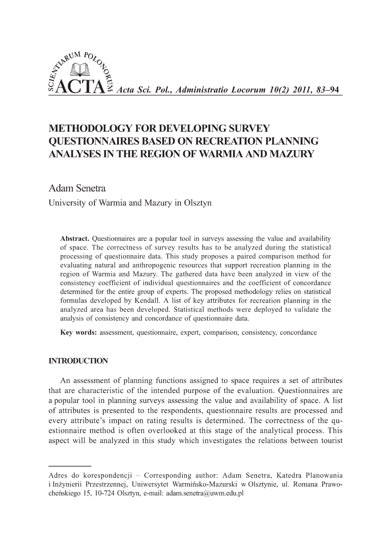

# **METHODOLOGY FOR DEVELOPING SURVEY QUESTIONNAIRES BASED ON RECREATION PLANNING ANALYSES IN THE REGION OF WARMIA AND MAZURY**

Adam Senetra

**University of Warmia and Mazury in Olsztyn**

**Abstract.** Questionnaires are a popular tool in surveys assessing the value and availability of space. The correctness of survey results has to be analyzed during the statistical processing of questionnaire data. This study proposes a paired comparison method for evaluating natural and anthropogenic resources that support recreation planning in the region of Warmia and Mazury. The gathered data have been analyzed in view of the consistency coefficient of individual questionnaires and the coefficient of concordance determined for the entire group of experts. The proposed methodology relies on statistical formulas developed by Kendall. A list of key attributes for recreation planning in the analyzed area has been developed. Statistical methods were deployed to validate the analysis of consistency and concordance of questionnaire data.

**Key words:** assessment, questionnaire, expert, comparison, consistency, concordance

### INTRODUCTION

An assessment of planning functions assigned to space requires a set of attributes that are characteristic of the intended purpose of the evaluation. Questionnaires are a popular tool in planning surveys assessing the value and availability of space. A list of attributes is presented to the respondents, questionnaire results are processed and every attribute's impact on rating results is determined. The correctness of the questionnaire method is often overlooked at this stage of the analytical process. This aspect will be analyzed in this study which investigates the relations between tourist

Adres do korespondencji - Corresponding author: Adam Senetra, Katedra Planowania i Inżynierii Przestrzennej, Uniwersytet Warmińsko-Mazurski w Olsztynie, ul. Romana Prawocheńskiego 15, 10-724 Olsztyn, e-mail: [adam.senetra@uwm.edu.pl](mailto:adam.senetra@uwm.edu.pl)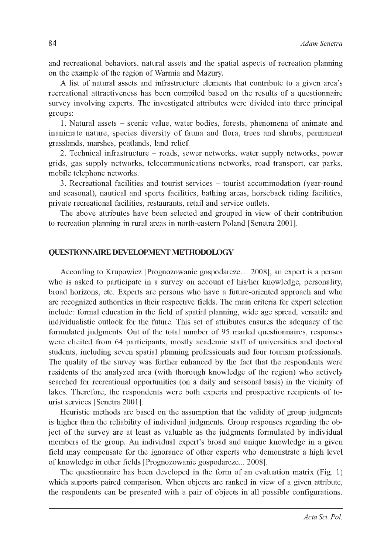and recreational behaviors, natural assets and the spatial aspects of recreation planning on the example of the region of Warmia and Mazury.

A list of natural assets and infrastructure elements that contribute to a given area's recreational attractiveness has been compiled based on the results of a questionnaire survey involving experts. The investigated attributes were divided into three principal groups:

1. Natural assets - scenic value, water bodies, forests, phenomena of animate and inanimate nature, species diversity of fauna and flora, trees and shrubs, permanent grasslands, marshes, peatlands, land relief.

2. Technical infrastructure - roads, sewer networks, water supply networks, power grids, gas supply networks, telecommunications networks, road transport, car parks, mobile telephone networks.

3. Recreational facilities and tourist services - tourist accommodation (year-round and seasonal), nautical and sports facilities, bathing areas, horseback riding facilities, private recreational facilities, restaurants, retail and service outlets.

The above attributes have been selected and grouped in view of their contribution to recreation planning in rural areas in north-eastern Poland [Senetra 2001].

### QUESTIONNAIRE DEVELOPMENT METHODOLOGY

According to Krupowicz [Prognozowanie gospodarcze... 2008], an expert is a person who is asked to participate in a survey on account of his/her knowledge, personality, broad horizons, etc. Experts are persons who have a future-oriented approach and who are recognized authorities in their respective fields. The main criteria for expert selection include: formal education in the field of spatial planning, wide age spread, versatile and individualistic outlook for the future. This set of attributes ensures the adequacy of the formulated judgments. Out of the total number of 95 mailed questionnaires, responses were elicited from 64 participants, mostly academic staff of universities and doctoral students, including seven spatial planning professionals and four tourism professionals. The quality of the survey was further enhanced by the fact that the respondents were residents of the analyzed area (with thorough knowledge of the region) who actively searched for recreational opportunities (on a daily and seasonal basis) in the vicinity of lakes. Therefore, the respondents were both experts and prospective recipients of tourist services [Senetra 2001].

Heuristic methods are based on the assumption that the validity of group judgments is higher than the reliability of individual judgments. Group responses regarding the object of the survey are at least as valuable as the judgments formulated by individual members of the group. An individual expert's broad and unique knowledge in a given field may compensate for the ignorance of other experts who demonstrate a high level of knowledge in other fields [Prognozowanie gospodarcze... 2008].

The questionnaire has been developed in the form of an evaluation matrix (Fig. 1) which supports paired comparison. When objects are ranked in view of a given attribute, the respondents can be presented with a pair of objects in all possible configurations.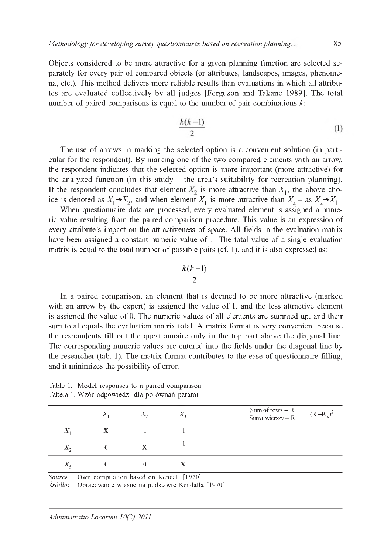Objects considered to be more attractive for a given planning function are selected separately for every pair of compared objects (or attributes, landscapes, images, phenomena, etc.). This method delivers more reliable results than evaluations in which all attributes are evaluated collectively by all judges [Ferguson and Takane 1989]. The total number of paired comparisons is equal to the number of pair combinations  $k$ :

$$
\frac{k(k-1)}{2} \tag{1}
$$

The use of arrows in marking the selected option is a convenient solution (in particular for the respondent). By marking one of the two compared elements with an arrow, the respondent indicates that the selected option is more important (more attractive) for the analyzed function (in this study  $-$  the area's suitability for recreation planning). If the respondent concludes that element  $X_2$  is more attractive than  $X_1$ , the above choice is denoted as  $X_1 \rightarrow X_2$ , and when element  $X_1$  is more attractive than  $X_2 -$  as  $X_2 \rightarrow X_1$ .

When questionnaire data are processed, every evaluated element is assigned a numeric value resulting from the paired comparison procedure. This value is an expression of every attribute's impact on the attractiveness of space. All fields in the evaluation matrix have been assigned a constant numeric value of 1. The total value of a single evaluation matrix is equal to the total number of possible pairs (cf. 1), and it is also expressed as:

$$
\frac{k(k-1)}{2}.
$$

In a paired comparison, an element that is deemed to be more attractive (marked with an arrow by the expert) is assigned the value of 1, and the less attractive element is assigned the value of 0. The numeric values of all elements are summed up, and their sum total equals the evaluation matrix total. A matrix format is very convenient because the respondents fill out the questionnaire only in the top part above the diagonal line. The corresponding numeric values are entered into the fields under the diagonal line by the researcher (tab. 1). The matrix format contributes to the ease of questionnaire filling, and it minimizes the possibility of error.

|             | Χ. | $X_{2}$ | $X_2$ | $Sum of rows - R$<br>$(R - R_{av})^2$<br>Suma wierszy - R |
|-------------|----|---------|-------|-----------------------------------------------------------|
| $\Lambda_1$ |    |         |       |                                                           |
| $\Lambda_2$ |    | X       |       |                                                           |
| $\Lambda_2$ |    |         |       |                                                           |

Table 1. Model responses to a paired comparison Tabela 1. Wzór odpowiedzi dla porównań parami

*Source*: Own compilation based on Kendall [1970]

*Źródło*: Opracowanie własne na podstawie Kendalla [1970]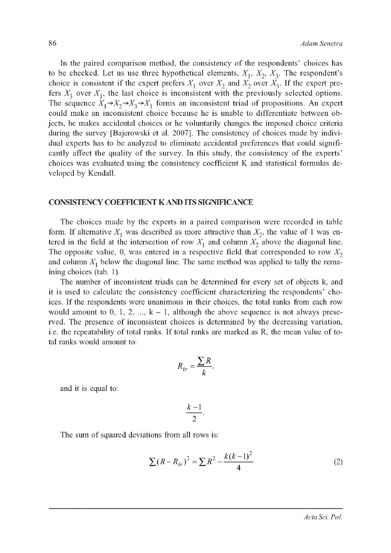In the paired comparison method, the consistency of the respondents' choices has to be checked. Let us use three hypothetical elements,  $X_1, X_2, X_3$ . The respondent's choice is consistent if the expert prefers  $X_1$  over  $X_2$  and  $X_2$  over  $X_3$ . If the expert prefers  $X_3$  over  $X_1$ , the last choice is inconsistent with the previously selected options. The sequence  $X_1 \rightarrow X_2 \rightarrow X_3 \rightarrow X_1$  forms an inconsistent triad of propositions. An expert could make an inconsistent choice because he is unable to differentiate between objects, he makes accidental choices or he voluntarily changes the imposed choice criteria during the survey [Bajerowski et al. 2007]. The consistency of choices made by individual experts has to be analyzed to eliminate accidental preferences that could significantly affect the quality of the survey. In this study, the consistency of the experts' choices was evaluated using the consistency coefficient K and statistical formulas developed by Kendall.

#### CONSISTENCY COEFFICIENT K AND ITS SIGNIFICANCE

The choices made by the experts in a paired comparison were recorded in table form. If alternative  $X_1$  was described as more attractive than  $X_2$ , the value of 1 was entered in the field at the intersection of row  $X_1$  and column  $X_2$  above the diagonal line. The opposite value, 0, was entered in a respective field that corresponded to row  $X_2$ and column  $X_1$  below the diagonal line. The same method was applied to tally the remaining choices (tab. 1).

The number of inconsistent triads can be determined for every set of objects k, and it is used to calculate the consistency coefficient characterizing the respondents' choices. If the respondents were unanimous in their choices, the total ranks from each row would amount to 0, 1, 2, ...,  $k - 1$ , although the above sequence is not always preserved. The presence of inconsistent choices is determined by the decreasing variation, i.e. the repeatability of total ranks. If total ranks are marked as R, the mean value of total ranks would amount to:

$$
R_{sr} = \frac{\sum R}{k}
$$

and it is equal to:

$$
\frac{k-1}{2}.
$$

The sum of squared deviations from all rows is:

$$
\sum (R - R_{sr})^2 = \sum R^2 - \frac{k(k-1)^2}{4}
$$
 (2)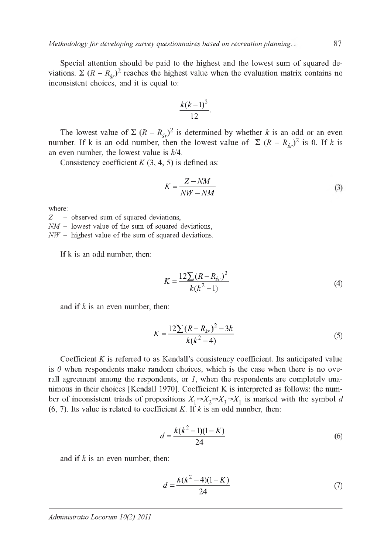*Methodology for developing survey questionnaires based on recreation planning...* 87

Special attention should be paid to the highest and the lowest sum of squared deviations.  $\Sigma (R - R_{cr})^2$  reaches the highest value when the evaluation matrix contains no inconsistent choices, and it is equal to:

$$
\frac{k(k-1)^2}{12}.
$$

The lowest value of  $\Sigma (R - R_{\xi r})^2$  is determined by whether *k* is an odd or an even number. If k is an odd number, then the lowest value of  $\sum (R - R_{\zeta r})^2$  is 0. If *k* is an even number, the lowest value is  $k/4$ .

Consistency coefficient  $K(3, 4, 5)$  is defined as:

$$
K = \frac{Z - NM}{NW - NM}
$$
 (3)

where:

*Z* - observed sum of squared deviations,  $NM -$  lowest value of the sum of squared deviations, *NW* – highest value of the sum of squared deviations.

If k is an odd number, then:

$$
K = \frac{12\sum (R - R_{sr})^2}{k(k^2 - 1)}
$$
(4)

and if *k* is an even number, then:

$$
K = \frac{12\sum (R - R_{sr})^2 - 3k}{k(k^2 - 4)}
$$
(5)

Coefficient *K* is referred to as Kendall's consistency coefficient. Its anticipated value is  $\theta$  when respondents make random choices, which is the case when there is no overall agreement among the respondents, or  $I$ , when the respondents are completely unanimous in their choices [Kendall 1970]. Coefficient K is interpreted as follows: the number of inconsistent triads of propositions  $X_1 \rightarrow X_2 \rightarrow X_3 \rightarrow X_1$  is marked with the symbol *d* (6, 7). Its value is related to coefficient K. If *k* is an odd number, then:

$$
d = \frac{k(k^2 - 1)(1 - K)}{24} \tag{6}
$$

and if *k* is an even number, then:

$$
d = \frac{k(k^2 - 4)(1 - K)}{24} \tag{7}
$$

#### *Administratio Locorum 10(2) 2011*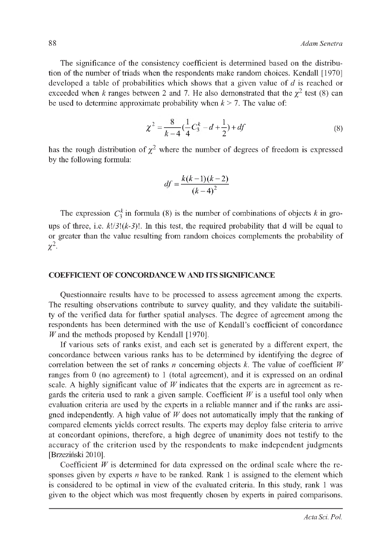The significance of the consistency coefficient is determined based on the distribution of the number of triads when the respondents make random choices. Kendall [1970] developed a table of probabilities which shows that a given value of  $d$  is reached or exceeded when k ranges between 2 and 7. He also demonstrated that the  $\chi^2$  test (8) can be used to determine approximate probability when  $k > 7$ . The value of:

$$
\chi^2 = \frac{8}{k-4} \left( \frac{1}{4} C_3^k - d + \frac{1}{2} \right) + df \tag{8}
$$

has the rough distribution of  $\chi^2$  where the number of degrees of freedom is expressed by the following formula:

$$
df = \frac{k(k-1)(k-2)}{(k-4)^2}
$$

The expression  $C_3^k$  in formula (8) is the number of combinations of objects k in groups of three, i.e.  $k!/3!(k-3)!$ . In this test, the required probability that d will be equal to or greater than the value resulting from random choices complements the probability of  $\chi^2$ .

#### COEFFICIENT OF CONCORDANCE W AND ITS SIGNIFICANCE

Questionnaire results have to be processed to assess agreement among the experts. The resulting observations contribute to survey quality, and they validate the suitability of the verified data for further spatial analyses. The degree of agreement among the respondents has been determined with the use of Kendall's coefficient of concordance *W* and the methods proposed by Kendall [1970].

If various sets of ranks exist, and each set is generated by a different expert, the concordance between various ranks has to be determined by identifying the degree of correlation between the set of ranks  $n$  concerning objects  $k$ . The value of coefficient  $W$ ranges from 0 (no agreement) to 1 (total agreement), and it is expressed on an ordinal scale. A highly significant value of  $W$  indicates that the experts are in agreement as regards the criteria used to rank a given sample. Coefficient  $W$  is a useful tool only when evaluation criteria are used by the experts in a reliable manner and if the ranks are assigned independently. A high value of *W* does not automatically imply that the ranking of compared elements yields correct results. The experts may deploy false criteria to arrive at concordant opinions, therefore, a high degree of unanimity does not testify to the accuracy of the criterion used by the respondents to make independent judgments [Brzeziński 2010].

Coefficient *W* is determined for data expressed on the ordinal scale where the responses given by experts  $n$  have to be ranked. Rank 1 is assigned to the element which is considered to be optimal in view of the evaluated criteria. In this study, rank 1 was given to the object which was most frequently chosen by experts in paired comparisons.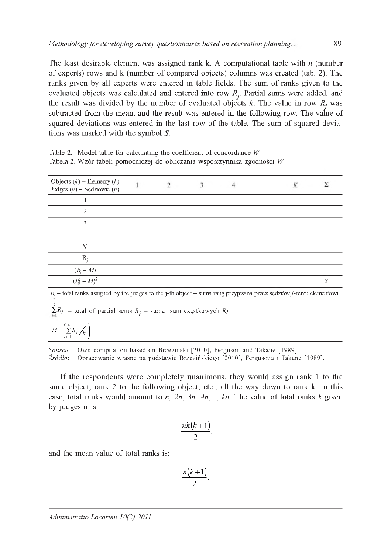The least desirable element was assigned rank k. A computational table with *n* (number of experts) rows and k (number of compared objects) columns was created (tab. 2). The ranks given by all experts were entered in table fields. The sum of ranks given to the evaluated objects was calculated and entered into row  $R_i$ . Partial sums were added, and the result was divided by the number of evaluated objects  $k$ . The value in row  $R<sub>j</sub>$  was subtracted from the mean, and the result was entered in the following row. The value of squared deviations was entered in the last row of the table. The sum of squared deviations was marked with the symbol *S.*

| Table 2. Model table for calculating the coefficient of concordance $W$   |  |
|---------------------------------------------------------------------------|--|
| Tabela 2. Wzór tabeli pomocniczej do obliczania współczynnika zgodności W |  |

| Objects $(k)$ – Elementy $(k)$<br>Judges $(n)$ – Sędziowie $(n)$ | o |  | К |  |
|------------------------------------------------------------------|---|--|---|--|
|                                                                  |   |  |   |  |
| っ                                                                |   |  |   |  |
| 3                                                                |   |  |   |  |
|                                                                  |   |  |   |  |
| $\boldsymbol{N}$                                                 |   |  |   |  |
| R                                                                |   |  |   |  |
|                                                                  |   |  |   |  |
| $\frac{(R_{\rm j}-M)}{(R{\rm j}-M)^2}$                           |   |  |   |  |

 $R_i$  – total ranks assigned by the judges to the j-th object – suma rang przypisana przez sędziów j-temu elementowi

 $\sum_{i=1}^{k} R_{j}$  – total of partial sems  $R_{j}$  – suma sum cząstkowych  $R_{j}$ 

$$
M = \left(\sum_{i=1}^k R_i / \binom{\cdot}{k}\right)
$$

*Source*: Own compilation based on Brzeziński [2010], Ferguson and Takane [1989] *Źródło*: Opracowanie własne na podstawie Brzezińskiego [2010], Fergusona i Takane [1989].

If the respondents were completely unanimous, they would assign rank 1 to the same object, rank 2 to the following object, etc., all the way down to rank k. In this case, total ranks would amount to  $n$ ,  $2n$ ,  $3n$ ,  $4n$ ,...,  $kn$ . The value of total ranks  $k$  given by judges n is:

$$
\frac{nk(k+1)}{2}.
$$

and the mean value of total ranks is:

$$
\frac{n(k+1)}{2}.
$$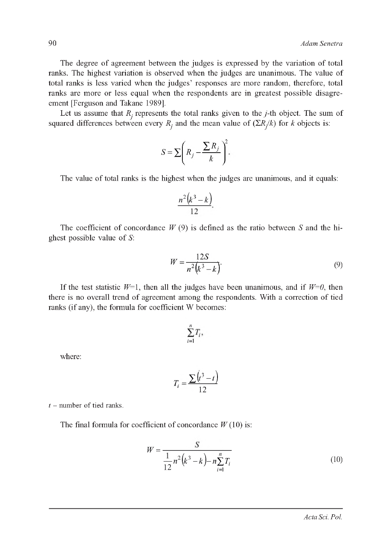The degree of agreement between the judges is expressed by the variation of total ranks. The highest variation is observed when the judges are unanimous. The value of total ranks is less varied when the judges' responses are more random, therefore, total ranks are more or less equal when the respondents are in greatest possible disagreement [Ferguson and Takane 1989].

Let us assume that  $R_j$  represents the total ranks given to the  $j$ -th object. The sum of squared differences between every  $R_j$  and the mean value of  $(\Sigma R_j / k)$  for k objects is:

$$
S = \sum \left( R_j - \frac{\sum R_j}{k} \right)^2.
$$

The value of total ranks is the highest when the judges are unanimous, and it equals:

$$
\frac{n^2(k^3-k)}{12}.
$$

The coefficient of concordance *W* (9) is defined as the ratio between *S* and the highest possible value of  $S$ :

$$
W = \frac{12S}{n^2(k^3 - k)}.
$$
\n(9)

If the test statistic  $W=1$ , then all the judges have been unanimous, and if  $W=0$ , then there is no overall trend of agreement among the respondents. With a correction of tied ranks (if any), the formula for coefficient W becomes:

$$
\sum_{i=1}^n T_i,
$$

where:

$$
T_i = \frac{\sum (t^3 - t)}{12}
$$

 $t$  – number of tied ranks.

The final formula for coefficient of concordance  $W(10)$  is:

$$
W = \frac{S}{\frac{1}{12}n^2(k^3 - k) - n\sum_{i=1}^n T_i}
$$
(10)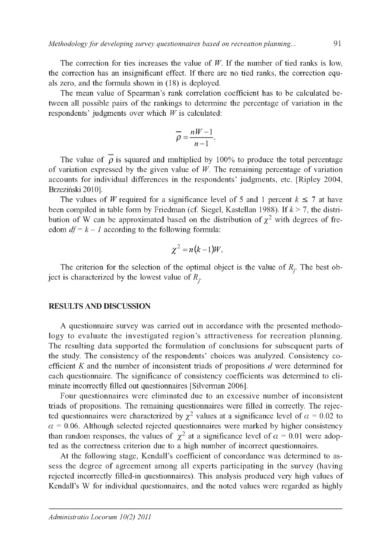The correction for ties increases the value of  $W$ . If the number of tied ranks is low, the correction has an insignificant effect. If there are no tied ranks, the correction equals zero, and the formula shown in (18) is deployed.

The mean value of Spearman's rank correlation coefficient has to be calculated between all possible pairs of the rankings to determine the percentage of variation in the respondents' judgments over which *W* is calculated:

$$
\overline{\rho} = \frac{nW - 1}{n - 1}.
$$

The value of  $\overline{\rho}$  is squared and multiplied by 100% to produce the total percentage of variation expressed by the given value of *W.* The remaining percentage of variation accounts for individual differences in the respondents' judgments, etc. [Ripley 2004, Brzeziński 2010].

The values of *W* required for a significance level of 5 and 1 percent  $k \le 7$  at have been compiled in table form by Friedman (cf. Siegel, Kastellan 1988). If *k* > 7, the distribution of W can be approximated based on the distribution of  $\chi^2$  with degrees of freedom  $df = k - 1$  according to the following formula:

$$
\chi^2=n(k-1)W.
$$

The criterion for the selection of the optimal object is the value of  $R_j$ . The best object is characterized by the lowest value of *Rj.*

#### RESULTS AND DISCUSSION

A questionnaire survey was carried out in accordance with the presented methodology to evaluate the investigated region's attractiveness for recreation planning. The resulting data supported the formulation of conclusions for subsequent parts of the study. The consistency of the respondents' choices was analyzed. Consistency coefficient *K* and the number of inconsistent triads of propositions *d* were determined for each questionnaire. The significance of consistency coefficients was determined to eliminate incorrectly filled out questionnaires [Silverman 2006].

Four questionnaires were eliminated due to an excessive number of inconsistent triads of propositions. The remaining questionnaires were filled in correctly. The rejected questionnaires were characterized by  $\chi^2$  values at a significance level of  $\alpha = 0.02$  to  $\alpha$  = 0.06. Although selected rejected questionnaires were marked by higher consistency than random responses, the values of  $\chi^2$  at a significance level of  $\alpha = 0.01$  were adopted as the correctness criterion due to a high number of incorrect questionnaires.

At the following stage, Kendall's coefficient of concordance was determined to assess the degree of agreement among all experts participating in the survey (having rejected incorrectly filled-in questionnaires). This analysis produced very high values of Kendall's W for individual questionnaires, and the noted values were regarded as highly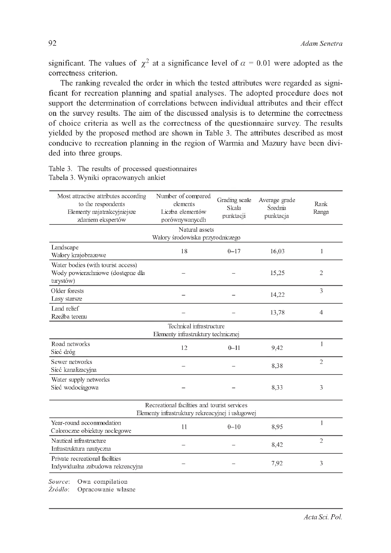significant. The values of  $\chi^2$  at a significance level of  $\alpha = 0.01$  were adopted as the correctness criterion.

The ranking revealed the order in which the tested attributes were regarded as significant for recreation planning and spatial analyses. The adopted procedure does not support the determination of correlations between individual attributes and their effect on the survey results. The aim of the discussed analysis is to determine the correctness of choice criteria as well as the correctness of the questionnaire survey. The results yielded by the proposed method are shown in Table 3. The attributes described as most conducive to recreation planning in the region of Warmia and Mazury have been divided into three groups.

| Most attractive attributes according<br>to the respondents<br>Elementy najatrakcyjniejsze<br>zdaniem ekspertów | Number of compared<br>elements<br>Liczba elementów<br>porównywanycdh | Grading scale<br>Skala<br>punktacji | Average grade<br>Średnia<br>punktacja | Rank<br>Ranga  |  |  |  |  |
|----------------------------------------------------------------------------------------------------------------|----------------------------------------------------------------------|-------------------------------------|---------------------------------------|----------------|--|--|--|--|
| Natural assets                                                                                                 |                                                                      |                                     |                                       |                |  |  |  |  |
| Walory środowiska przyrodniczego                                                                               |                                                                      |                                     |                                       |                |  |  |  |  |
| Landscape<br>Walory krajobrazowe                                                                               | 18                                                                   | $0 - 17$                            | 16,03                                 | 1              |  |  |  |  |
| Water bodies (with tourist access)<br>Wody powierzchniowe (dostępne dla<br>turystów)                           |                                                                      |                                     | 15,25                                 | $\overline{2}$ |  |  |  |  |
| Older forests<br>Lasy starsze                                                                                  |                                                                      |                                     | 14,22                                 | 3              |  |  |  |  |
| Land relief<br>Rzeźba terenu                                                                                   |                                                                      |                                     | 13,78                                 | $\overline{4}$ |  |  |  |  |
| Technical infrastructure<br>Elementy infrastruktury technicznej                                                |                                                                      |                                     |                                       |                |  |  |  |  |
| Road networks<br>Sieć dróg                                                                                     | 12                                                                   | $0 - 11$                            | 9,42                                  | 1              |  |  |  |  |
| Sewer networks<br>Sieć kanalizacyjna                                                                           |                                                                      |                                     | 8,38                                  | $\overline{2}$ |  |  |  |  |
| Water supply networks<br>Sieć wodociągowa                                                                      |                                                                      |                                     | 8,33                                  | 3              |  |  |  |  |
| Recreational facilities and tourist services<br>Elementy infrastruktury rekreacyjnej i usługowej               |                                                                      |                                     |                                       |                |  |  |  |  |
| Year-round accommodation<br>Caloroczne obiektuy noclegowe                                                      | 11                                                                   | $0 - 10$                            | 8,95                                  | 1              |  |  |  |  |
| Nautical infrastructure<br>Infrastruktura nautyczna                                                            |                                                                      |                                     | 8,42                                  | $\overline{2}$ |  |  |  |  |
| Private recreational facilities<br>Indywidualna zabudowa rekreacyjna                                           |                                                                      |                                     | 7,92                                  | 3              |  |  |  |  |
| Own compilation<br>Source:<br>Żródło:<br>Opracowanie własne                                                    |                                                                      |                                     |                                       |                |  |  |  |  |

Table 3. The results of processed questionnaires Tabela 3. Wyniki opracowanych ankiet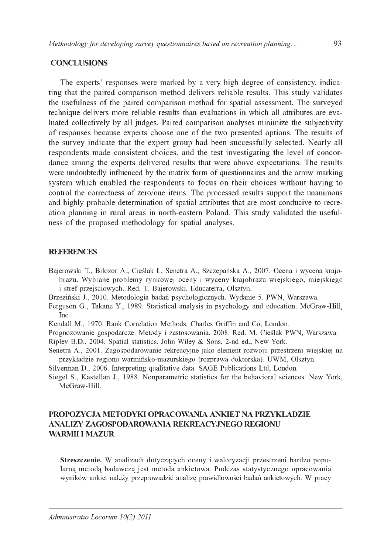#### **CONCLUSIONS**

The experts' responses were marked by a very high degree of consistency, indicating that the paired comparison method delivers reliable results. This study validates the usefulness of the paired comparison method for spatial assessment. The surveyed technique delivers more reliable results than evaluations in which all attributes are evaluated collectively by all judges. Paired comparison analyses minimize the subjectivity of responses because experts choose one of the two presented options. The results of the survey indicate that the expert group had been successfully selected. Nearly all respondents made consistent choices, and the test investigating the level of concordance among the experts delivered results that were above expectations. The results were undoubtedly influenced by the matrix form of questionnaires and the arrow marking system which enabled the respondents to focus on their choices without having to control the correctness of zero/one items. The processed results support the unanimous and highly probable determination of spatial attributes that are most conducive to recreation planning in rural areas in north-eastern Poland. This study validated the usefulness of the proposed methodology for spatial analyses.

#### **REFERENCES**

- Bajerowski T., Biłozor A., Cieślak I., Senetra A., Szczepańska A., 2007. Ocena i wycena krajobrazu. Wybrane problemy rynkowej oceny i wyceny krajobrazu wiejskiego, miejskiego i stref przejściowych. Red. T. Bajerowski. Educaterra, Olsztyn.
- Brzeziński J., 2010. Metodologia badań psychologicznych. Wydanie 5. PWN, Warszawa.
- Ferguson G., Takane Y., 1989. Statistical analysis in psychology and education. McGraw-Hill, Inc.
- Kendall M., 1970. Rank Correlation Methods. Charles Griffin and Co, London.
- Prognozowanie gospodarcze. Metody i zastosowania. 2008. Red. M. Cieślak PWN, Warszawa. Ripley B.D., 2004. Spatial statistics. John Wiley & Sons, 2-nd ed., New York.
- Senetra A., 2001. Zagospodarowanie rekreacyjne jako element rozwoju przestrzeni wiejskiej na przykładzie regionu warmińsko-mazurskiego (rozprawa doktorska). UWM, Olsztyn.
- Silverman D., 2006. Interpreting qualitative data. SAGE Publications Ltd, London.
- Siegel S., Kastellan J., 1988. Nonparametric statistics for the behavioral sciences. New York, McGraw-Hill.

## PROPOZYCJA METODYKI OPRACOWANIA ANKIET NA PRZYKŁADZIE ANALIZY ZAGOSPODAROWANIA REKREACYJNEGO REGIONU WARMII I MAZUR

**Streszczenie.** W analizach dotyczących oceny i waloryzacji przestrzeni bardzo popularną metodą badawczą jest metoda ankietowa. Podczas statystycznego opracowania wyników ankiet należy przeprowadzić analizę prawidłowości badań ankietowych. W pracy